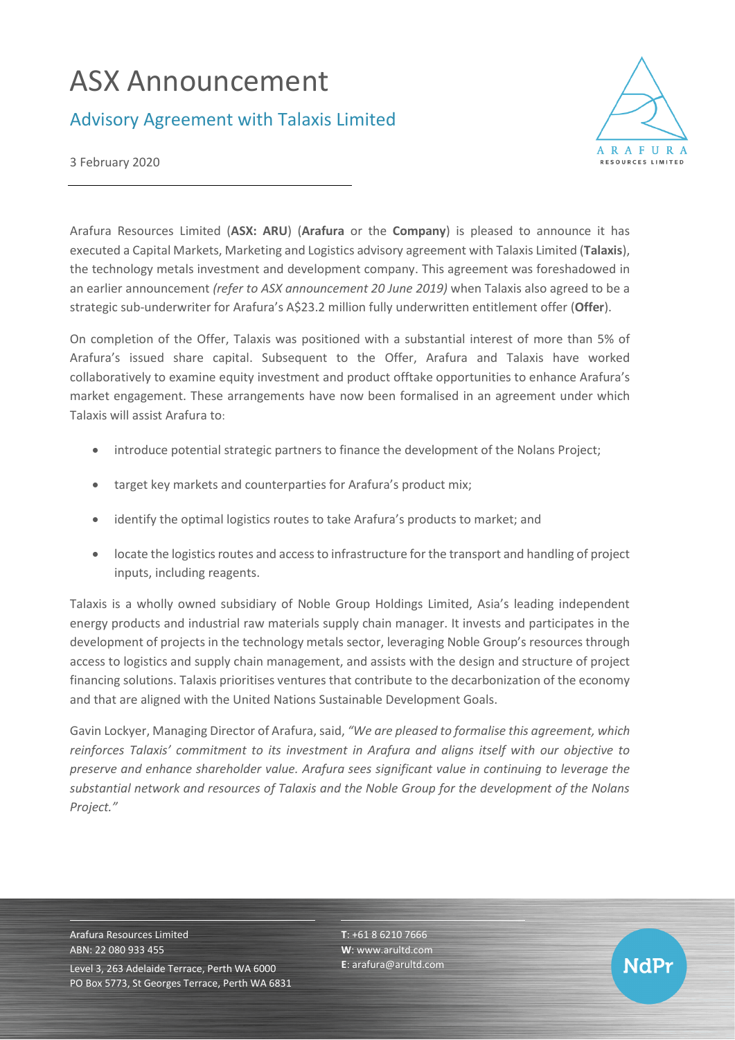## ASX Announcement

## Advisory Agreement with Talaxis Limited



3 February 2020

Arafura Resources Limited (**ASX: ARU**) (**Arafura** or the **Company**) is pleased to announce it has executed a Capital Markets, Marketing and Logistics advisory agreement with Talaxis Limited (**Talaxis**), the technology metals investment and development company. This agreement was foreshadowed in an earlier announcement *(refer to ASX announcement 20 June 2019)* when Talaxis also agreed to be a strategic sub-underwriter for Arafura's A\$23.2 million fully underwritten entitlement offer (**Offer**).

On completion of the Offer, Talaxis was positioned with a substantial interest of more than 5% of Arafura's issued share capital. Subsequent to the Offer, Arafura and Talaxis have worked collaboratively to examine equity investment and product offtake opportunities to enhance Arafura's market engagement. These arrangements have now been formalised in an agreement under which Talaxis will assist Arafura to:

- introduce potential strategic partners to finance the development of the Nolans Project;
- target key markets and counterparties for Arafura's product mix;
- identify the optimal logistics routes to take Arafura's products to market; and
- locate the logistics routes and access to infrastructure for the transport and handling of project inputs, including reagents.

Talaxis is a wholly owned subsidiary of Noble Group Holdings Limited, Asia's leading independent energy products and industrial raw materials supply chain manager. It invests and participates in the development of projects in the technology metals sector, leveraging Noble Group's resources through access to logistics and supply chain management, and assists with the design and structure of project financing solutions. Talaxis prioritises ventures that contribute to the decarbonization of the economy and that are aligned with the United Nations Sustainable Development Goals.

Gavin Lockyer, Managing Director of Arafura, said, *"We are pleased to formalise this agreement, which reinforces Talaxis' commitment to its investment in Arafura and aligns itself with our objective to preserve and enhance shareholder value. Arafura sees significant value in continuing to leverage the substantial network and resources of Talaxis and the Noble Group for the development of the Nolans Project."*

Arafura Resources Limited ABN: 22 080 933 455 Level 3, 263 Adelaide Terrace, Perth WA 6000 PO Box 5773, St Georges Terrace, Perth WA 6831 **T**: +61 8 6210 7666 **W**: [www.arultd.com](http://www.arultd.com/) **E**[: arafura@arultd.com](mailto:arafura@arultd.com)